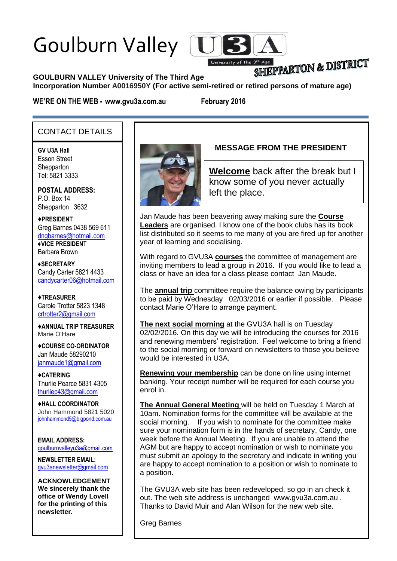# Goulburn Valley



## SHIEPPARTON & DISTRICT

**GOULBURN VALLEY University of The Third Age** 

**Incorporation Number A0016950Y (For active semi-retired or retired persons of mature age)**

**WE'RE ON THE WEB - www.gvu3a.com.au February 2016**

#### CONTACT DETAILS

**GV U3A Hall** Esson Street **Shepparton** Tel: 5821 3333

**POSTAL ADDRESS:** P.O. Box 14 Shepparton 3632

♦**PRESIDENT** Greg Barnes 0438 569 611 [dngbarnes@hotmail.com](mailto:dngbarnes@hotmail.com) **♦VICE PRESIDENT** Barbara Brown

**♦SECRETARY** Candy Carter 5821 4433 [candycarter06@hotmail.com](mailto:Candycarter06@hotmail.com)

♦**TREASURER** Carole Trotter 5823 1348 crtrotter2@gmail.com

♦**ANNUAL TRIP TREASURER** Marie O'Hare

♦**COURSE CO-ORDINATOR** Jan Maude 58290210 [janmaude1@gmail.com](mailto:janmaude1@gmail.com)

♦**CATERING** Thurlie Pearce 5831 4305 [thurliep43@gmail.com](mailto:Thurliep43@gmail.com)

♦**HALL COORDINATOR** John Hammond 5821 5020 [johnhammond5@bigpond.com.au](mailto:johnhammond5@bigpond.com.au)

**EMAIL ADDRESS:** [goulburnvalleyu3a@gmail.com](mailto:goulburnvalleyu3a@gmail.com)

**NEWSLETTER EMAIL:** [gvu3anewsletter@gmail.com](mailto:gvu3anewsletter@gmail.com)

**ACKNOWLEDGEMENT We sincerely thank the office of Wendy Lovell for the printing of this newsletter.**



### **MESSAGE FROM THE PRESIDENT**

**Welcome** back after the break but I know some of you never actually left the place.

Jan Maude has been beavering away making sure the **Course Leaders** are organised. I know one of the book clubs has its book list distributed so it seems to me many of you are fired up for another year of learning and socialising.

With regard to GVU3A **courses** the committee of management are inviting members to lead a group in 2016. If you would like to lead a class or have an idea for a class please contact Jan Maude.

The **annual trip** committee require the balance owing by participants to be paid by Wednesday 02/03/2016 or earlier if possible. Please contact Marie O'Hare to arrange payment.

**The next social morning** at the GVU3A hall is on Tuesday 02/02/2016. On this day we will be introducing the courses for 2016 and renewing members' registration. Feel welcome to bring a friend to the social morning or forward on newsletters to those you believe would be interested in U3A.

**Renewing your membership** can be done on line using internet banking. Your receipt number will be required for each course you enrol in.

**The Annual General Meeting** will be held on Tuesday 1 March at 10am. Nomination forms for the committee will be available at the social morning. If you wish to nominate for the committee make sure your nomination form is in the hands of secretary, Candy, one week before the Annual Meeting. If you are unable to attend the AGM but are happy to accept nomination or wish to nominate you must submit an apology to the secretary and indicate in writing you are happy to accept nomination to a position or wish to nominate to a position.

The GVU3A web site has been redeveloped, so go in an check it out. The web site address is unchanged [www.gvu3a.com.au](http://www.gvu3a.com.au/) . Thanks to David Muir and Alan Wilson for the new web site.

Greg Barnes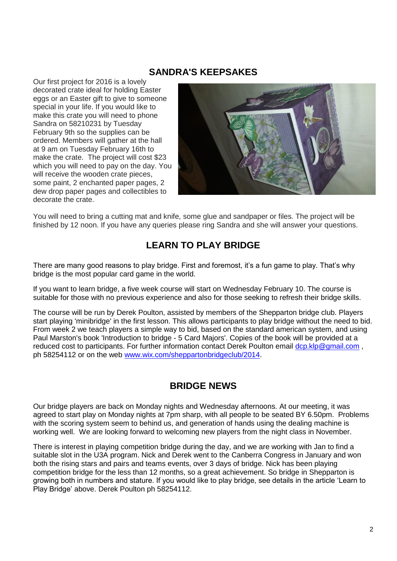#### **SANDRA'S KEEPSAKES**

Our first project for 2016 is a lovely decorated crate ideal for holding Easter eggs or an Easter gift to give to someone special in your life. If you would like to make this crate you will need to phone Sandra on 58210231 by Tuesday February 9th so the supplies can be ordered. Members will gather at the hall at 9 am on Tuesday February 16th to make the crate. The project will cost \$23 which you will need to pay on the day. You will receive the wooden crate pieces, some paint, 2 enchanted paper pages, 2 dew drop paper pages and collectibles to decorate the crate.



You will need to bring a cutting mat and knife, some glue and sandpaper or files. The project will be finished by 12 noon. If you have any queries please ring Sandra and she will answer your questions.

## **LEARN TO PLAY BRIDGE**

There are many good reasons to play bridge. First and foremost, it's a fun game to play. That's why bridge is the most popular card game in the world.

If you want to learn bridge, a five week course will start on Wednesday February 10. The course is suitable for those with no previous experience and also for those seeking to refresh their bridge skills.

The course will be run by Derek Poulton, assisted by members of the Shepparton bridge club. Players start playing 'minibridge' in the first lesson. This allows participants to play bridge without the need to bid. From week 2 we teach players a simple way to bid, based on the standard american system, and using Paul Marston's book 'Introduction to bridge - 5 Card Majors'. Copies of the book will be provided at a reduced cost to participants. For further information contact Derek Poulton email [dcp.klp@gmail.com](mailto:dcp.klp@gmail.com) ph 58254112 or on the web [www.wix.com/sheppartonbridgeclub/2014.](http://www.wix.com/sheppartonbridgeclub/2014)

#### **BRIDGE NEWS**

Our bridge players are back on Monday nights and Wednesday afternoons. At our meeting, it was agreed to start play on Monday nights at 7pm sharp, with all people to be seated BY 6.50pm. Problems with the scoring system seem to behind us, and generation of hands using the dealing machine is working well. We are looking forward to welcoming new players from the night class in November.

There is interest in playing competition bridge during the day, and we are working with Jan to find a suitable slot in the U3A program. Nick and Derek went to the Canberra Congress in January and won both the rising stars and pairs and teams events, over 3 days of bridge. Nick has been playing competition bridge for the less than 12 months, so a great achievement. So bridge in Shepparton is growing both in numbers and stature. If you would like to play bridge, see details in the article 'Learn to Play Bridge' above. Derek Poulton ph 58254112.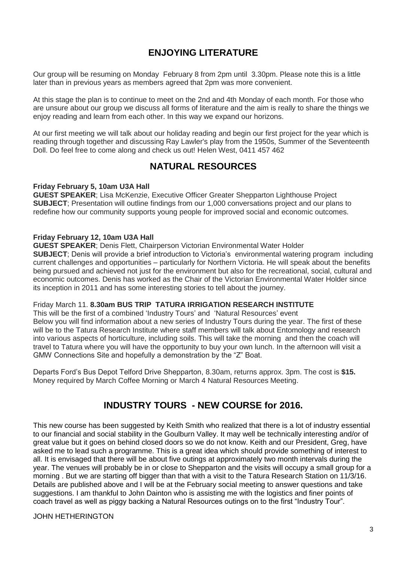## **ENJOYING LITERATURE**

Our group will be resuming on Monday February 8 from 2pm until 3.30pm. Please note this is a little later than in previous years as members agreed that 2pm was more convenient.

At this stage the plan is to continue to meet on the 2nd and 4th Monday of each month. For those who are unsure about our group we discuss all forms of literature and the aim is really to share the things we enjoy reading and learn from each other. In this way we expand our horizons.

At our first meeting we will talk about our holiday reading and begin our first project for the year which is reading through together and discussing Ray Lawler's play from the 1950s, Summer of the Seventeenth Doll. Do feel free to come along and check us out! Helen West, 0411 457 462

#### **NATURAL RESOURCES**

#### **Friday February 5, 10am U3A Hall**

**GUEST SPEAKER**; Lisa McKenzie, Executive Officer Greater Shepparton Lighthouse Project **SUBJECT**; Presentation will outline findings from our 1,000 conversations project and our plans to redefine how our community supports young people for improved social and economic outcomes.

#### **Friday February 12, 10am U3A Hall**

**GUEST SPEAKER**; Denis Flett, Chairperson Victorian Environmental Water Holder **SUBJECT**; Denis will provide a brief introduction to Victoria's environmental watering program including current challenges and opportunities – particularly for Northern Victoria. He will speak about the benefits being pursued and achieved not just for the environment but also for the recreational, social, cultural and economic outcomes. Denis has worked as the Chair of the Victorian Environmental Water Holder since its inception in 2011 and has some interesting stories to tell about the journey.

#### Friday March 11. **8.30am BUS TRIP TATURA IRRIGATION RESEARCH INSTITUTE**

This will be the first of a combined 'Industry Tours' and 'Natural Resources' event Below you will find information about a new series of Industry Tours during the year. The first of these will be to the Tatura Research Institute where staff members will talk about Entomology and research into various aspects of horticulture, including soils. This will take the morning and then the coach will travel to Tatura where you will have the opportunity to buy your own lunch. In the afternoon will visit a GMW Connections Site and hopefully a demonstration by the "Z" Boat.

Departs Ford's Bus Depot Telford Drive Shepparton, 8.30am, returns approx. 3pm. The cost is **\$15.** Money required by March Coffee Morning or March 4 Natural Resources Meeting.

#### **INDUSTRY TOURS - NEW COURSE for 2016.**

This new course has been suggested by Keith Smith who realized that there is a lot of industry essential to our financial and social stability in the Goulburn Valley. It may well be technically interesting and/or of great value but it goes on behind closed doors so we do not know. Keith and our President, Greg, have asked me to lead such a programme. This is a great idea which should provide something of interest to all. It is envisaged that there will be about five outings at approximately two month intervals during the year. The venues will probably be in or close to Shepparton and the visits will occupy a small group for a morning . But we are starting off bigger than that with a visit to the Tatura Research Station on 11/3/16. Details are published above and I will be at the February social meeting to answer questions and take suggestions. I am thankful to John Dainton who is assisting me with the logistics and finer points of coach travel as well as piggy backing a Natural Resources outings on to the first "Industry Tour".

#### JOHN HETHERINGTON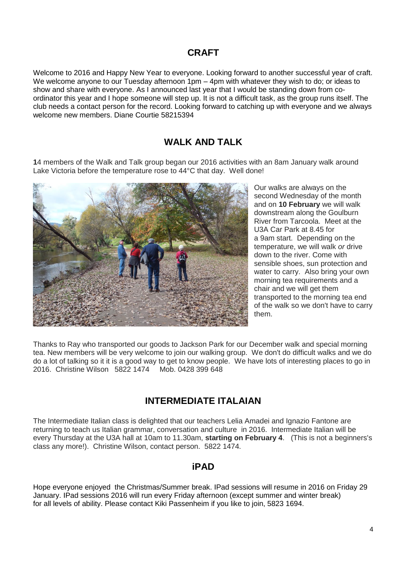#### **CRAFT**

Welcome to 2016 and Happy New Year to everyone. Looking forward to another successful year of craft. We welcome anyone to our Tuesday afternoon 1pm – 4pm with whatever they wish to do; or ideas to show and share with everyone. As I announced last year that I would be standing down from coordinator this year and I hope someone will step up. It is not a difficult task, as the group runs itself. The club needs a contact person for the record. Looking forward to catching up with everyone and we always welcome new members. Diane Courtie 58215394

#### **WALK AND TALK**

**1**4 members of the Walk and Talk group began our 2016 activities with an 8am January walk around Lake Victoria before the temperature rose to 44°C that day. Well done!



Our walks are always on the second Wednesday of the month and on **10 February** we will walk downstream along the Goulburn River from Tarcoola. Meet at the U3A Car Park at 8.45 for a 9am start. Depending on the temperature, we will walk *or* drive down to the river. Come with sensible shoes, sun protection and water to carry. Also bring your own morning tea requirements and a chair and we will get them transported to the morning tea end of the walk so we don't have to carry them.

Thanks to Ray who transported our goods to Jackson Park for our December walk and special morning tea. New members will be very welcome to join our walking group. We don't do difficult walks and we do do a lot of talking so it it is a good way to get to know people. We have lots of interesting places to go in 2016. Christine Wilson 5822 1474 Mob. 0428 399 648

#### **INTERMEDIATE ITALAIAN**

The Intermediate Italian class is delighted that our teachers Lelia Amadei and Ignazio Fantone are returning to teach us Italian grammar, conversation and culture in 2016. Intermediate Italian will be every Thursday at the U3A hall at 10am to 11.30am, **starting on February 4**. (This is not a beginners's class any more!). Christine Wilson, contact person. 5822 1474.

#### **iPAD**

Hope everyone enjoyed the Christmas/Summer break. IPad sessions will resume in 2016 on Friday 29 January. IPad sessions 2016 will run every Friday afternoon (except summer and winter break) for all levels of ability. Please contact Kiki Passenheim if you like to join, 5823 1694.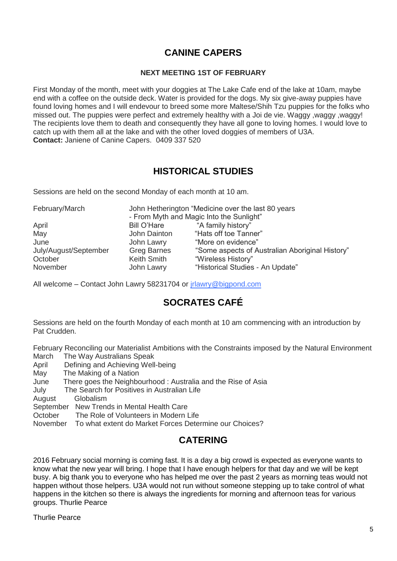## **CANINE CAPERS**

#### **NEXT MEETING 1ST OF FEBRUARY**

First Monday of the month, meet with your doggies at The Lake Cafe end of the lake at 10am, maybe end with a coffee on the outside deck. Water is provided for the dogs. My six give-away puppies have found loving homes and I will endevour to breed some more Maltese/Shih Tzu puppies for the folks who missed out. The puppies were perfect and extremely healthy with a Joi de vie. Waggy ,waggy ,waggy! The recipients love them to death and consequently they have all gone to loving homes. I would love to catch up with them all at the lake and with the other loved doggies of members of U3A. **Contact:** Janiene of Canine Capers. 0409 337 520

## **HISTORICAL STUDIES**

Sessions are held on the second Monday of each month at 10 am.

| February/March        |                    | John Hetherington "Medicine over the last 80 years<br>- From Myth and Magic Into the Sunlight" |
|-----------------------|--------------------|------------------------------------------------------------------------------------------------|
| April                 | Bill O'Hare        | "A family history"                                                                             |
| May                   | John Dainton       | "Hats off toe Tanner"                                                                          |
| June                  | John Lawry         | "More on evidence"                                                                             |
| July/August/September | <b>Greg Barnes</b> | "Some aspects of Australian Aboriginal History"                                                |
| October               | Keith Smith        | "Wireless History"                                                                             |
| November              | John Lawry         | "Historical Studies - An Update"                                                               |

All welcome – Contact John Lawry 58231704 or [jrlawry@bigpond.com](mailto:jrlawry@bigpond.com)

## **SOCRATES CAFÉ**

Sessions are held on the fourth Monday of each month at 10 am commencing with an introduction by Pat Crudden.

February Reconciling our Materialist Ambitions with the Constraints imposed by the Natural Environment March The Way Australians Speak

- April Defining and Achieving Well-being
- May The Making of a Nation
- June There goes the Neighbourhood : Australia and the Rise of Asia
- July The Search for Positives in Australian Life

August Globalism

September New Trends in Mental Health Care

October The Role of Volunteers in Modern Life

November To what extent do Market Forces Determine our Choices?

## **CATERING**

2016 February social morning is coming fast. It is a day a big crowd is expected as everyone wants to know what the new year will bring. I hope that I have enough helpers for that day and we will be kept busy. A big thank you to everyone who has helped me over the past 2 years as morning teas would not happen without those helpers. U3A would not run without someone stepping up to take control of what happens in the kitchen so there is always the ingredients for morning and afternoon teas for various groups. Thurlie Pearce

Thurlie Pearce